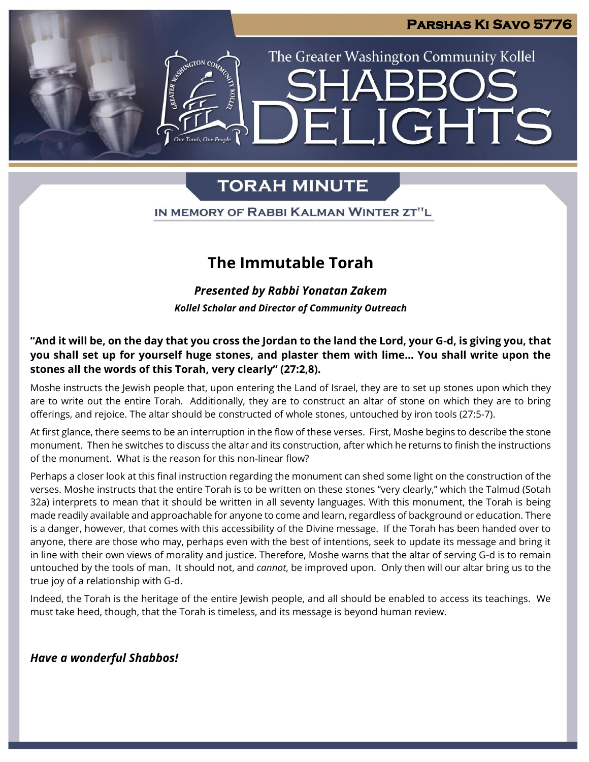**IGHTS** 

The Greater Washington Community Kollel

# **TORAH MINUTE**

IN MEMORY OF RABBI KALMAN WINTER ZT"L

# **The Immutable Torah**

*Presented by Rabbi Yonatan Zakem Kollel Scholar and Director of Community Outreach*

### **"And it will be, on the day that you cross the Jordan to the land the Lord, your G-d, is giving you, that you shall set up for yourself huge stones, and plaster them with lime… You shall write upon the stones all the words of this Torah, very clearly" (27:2,8).**

Moshe instructs the Jewish people that, upon entering the Land of Israel, they are to set up stones upon which they are to write out the entire Torah. Additionally, they are to construct an altar of stone on which they are to bring offerings, and rejoice. The altar should be constructed of whole stones, untouched by iron tools (27:5-7).

At first glance, there seems to be an interruption in the flow of these verses. First, Moshe begins to describe the stone monument. Then he switches to discuss the altar and its construction, after which he returns to finish the instructions of the monument. What is the reason for this non-linear flow?

Perhaps a closer look at this final instruction regarding the monument can shed some light on the construction of the verses. Moshe instructs that the entire Torah is to be written on these stones "very clearly," which the Talmud (Sotah 32a) interprets to mean that it should be written in all seventy languages. With this monument, the Torah is being made readily available and approachable for anyone to come and learn, regardless of background or education. There is a danger, however, that comes with this accessibility of the Divine message. If the Torah has been handed over to anyone, there are those who may, perhaps even with the best of intentions, seek to update its message and bring it in line with their own views of morality and justice. Therefore, Moshe warns that the altar of serving G-d is to remain untouched by the tools of man. It should not, and *cannot*, be improved upon. Only then will our altar bring us to the true joy of a relationship with G-d.

Indeed, the Torah is the heritage of the entire Jewish people, and all should be enabled to access its teachings. We must take heed, though, that the Torah is timeless, and its message is beyond human review.

### *Have a wonderful Shabbos!*